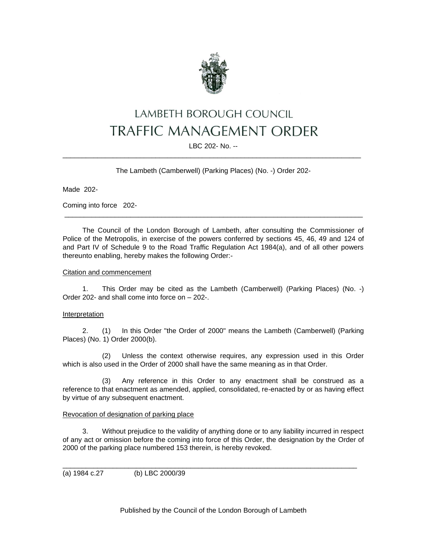

# LAMBETH BOROUGH COUNCIL **TRAFFIC MANAGEMENT ORDER**

## LBC 202- No. -- \_\_\_\_\_\_\_\_\_\_\_\_\_\_\_\_\_\_\_\_\_\_\_\_\_\_\_\_\_\_\_\_\_\_\_\_\_\_\_\_\_\_\_\_\_\_\_\_\_\_\_\_\_\_\_\_\_\_\_\_\_\_\_\_\_\_\_\_\_\_\_\_\_\_\_\_\_

The Lambeth (Camberwell) (Parking Places) (No. -) Order 202-

Made 202-

Coming into force 202-

The Council of the London Borough of Lambeth, after consulting the Commissioner of Police of the Metropolis, in exercise of the powers conferred by sections 45, 46, 49 and 124 of and Part IV of Schedule 9 to the Road Traffic Regulation Act 1984(a), and of all other powers thereunto enabling, hereby makes the following Order:-

\_\_\_\_\_\_\_\_\_\_\_\_\_\_\_\_\_\_\_\_\_\_\_\_\_\_\_\_\_\_\_\_\_\_\_\_\_\_\_\_\_\_\_\_\_\_\_\_\_\_\_\_\_\_\_\_\_\_\_\_\_\_\_\_\_\_\_\_\_\_\_\_\_\_\_\_\_

### Citation and commencement

1. This Order may be cited as the Lambeth (Camberwell) (Parking Places) (No. -) Order 202- and shall come into force on – 202-.

## Interpretation

2. (1) In this Order "the Order of 2000" means the Lambeth (Camberwell) (Parking Places) (No. 1) Order 2000(b).

(2) Unless the context otherwise requires, any expression used in this Order which is also used in the Order of 2000 shall have the same meaning as in that Order.

(3) Any reference in this Order to any enactment shall be construed as a reference to that enactment as amended, applied, consolidated, re-enacted by or as having effect by virtue of any subsequent enactment.

#### Revocation of designation of parking place

3. Without prejudice to the validity of anything done or to any liability incurred in respect of any act or omission before the coming into force of this Order, the designation by the Order of 2000 of the parking place numbered 153 therein, is hereby revoked.

\_\_\_\_\_\_\_\_\_\_\_\_\_\_\_\_\_\_\_\_\_\_\_\_\_\_\_\_\_\_\_\_\_\_\_\_\_\_\_\_\_\_\_\_\_\_\_\_\_\_\_\_\_\_\_\_\_\_\_\_\_\_\_\_\_\_\_\_\_\_\_\_\_\_\_\_

(a) 1984 c.27 (b) LBC 2000/39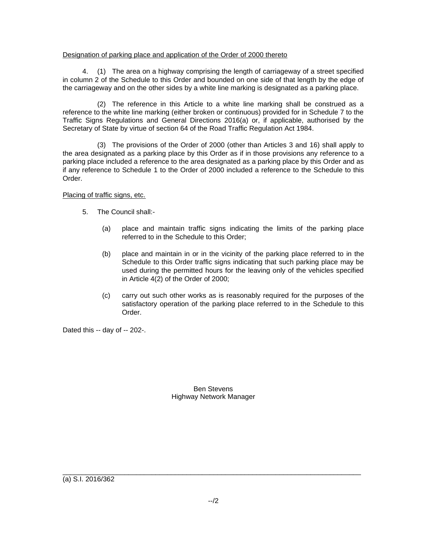### Designation of parking place and application of the Order of 2000 thereto

4. (1) The area on a highway comprising the length of carriageway of a street specified in column 2 of the Schedule to this Order and bounded on one side of that length by the edge of the carriageway and on the other sides by a white line marking is designated as a parking place.

(2) The reference in this Article to a white line marking shall be construed as a reference to the white line marking (either broken or continuous) provided for in Schedule 7 to the Traffic Signs Regulations and General Directions 2016(a) or, if applicable, authorised by the Secretary of State by virtue of section 64 of the Road Traffic Regulation Act 1984.

(3) The provisions of the Order of 2000 (other than Articles 3 and 16) shall apply to the area designated as a parking place by this Order as if in those provisions any reference to a parking place included a reference to the area designated as a parking place by this Order and as if any reference to Schedule 1 to the Order of 2000 included a reference to the Schedule to this Order.

Placing of traffic signs, etc.

- 5. The Council shall:-
	- (a) place and maintain traffic signs indicating the limits of the parking place referred to in the Schedule to this Order;
	- (b) place and maintain in or in the vicinity of the parking place referred to in the Schedule to this Order traffic signs indicating that such parking place may be used during the permitted hours for the leaving only of the vehicles specified in Article 4(2) of the Order of 2000;
	- (c) carry out such other works as is reasonably required for the purposes of the satisfactory operation of the parking place referred to in the Schedule to this Order.

Dated this -- day of -- 202-.

## Ben Stevens Highway Network Manager

\_\_\_\_\_\_\_\_\_\_\_\_\_\_\_\_\_\_\_\_\_\_\_\_\_\_\_\_\_\_\_\_\_\_\_\_\_\_\_\_\_\_\_\_\_\_\_\_\_\_\_\_\_\_\_\_\_\_\_\_\_\_\_\_\_\_\_\_\_\_\_\_\_\_\_\_\_